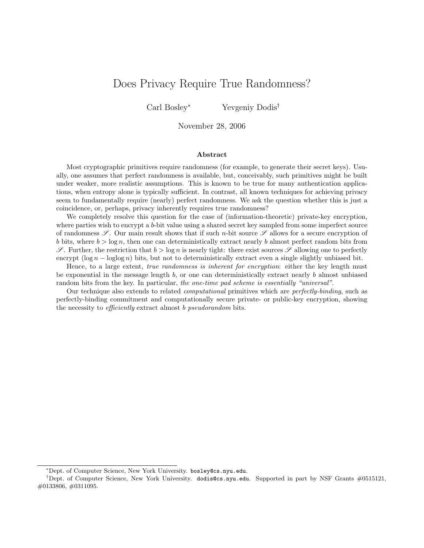# Does Privacy Require True Randomness?

Carl Bosley<sup>∗</sup> Yevgeniy Dodis†

November 28, 2006

#### Abstract

Most cryptographic primitives require randomness (for example, to generate their secret keys). Usually, one assumes that perfect randomness is available, but, conceivably, such primitives might be built under weaker, more realistic assumptions. This is known to be true for many authentication applications, when entropy alone is typically sufficient. In contrast, all known techniques for achieving privacy seem to fundamentally require (nearly) perfect randomness. We ask the question whether this is just a coincidence, or, perhaps, privacy inherently requires true randomness?

We completely resolve this question for the case of (information-theoretic) private-key encryption, where parties wish to encrypt a b-bit value using a shared secret key sampled from some imperfect source of randomness  $\mathscr{S}$ . Our main result shows that if such *n*-bit source  $\mathscr{S}$  allows for a secure encryption of b bits, where  $b > \log n$ , then one can deterministically extract nearly b almost perfect random bits from  $\mathscr{S}$ . Further, the restriction that  $b > \log n$  is nearly tight: there exist sources  $\mathscr{S}$  allowing one to perfectly encrypt  $(\log n - \log(\log n))$  bits, but not to deterministically extract even a single slightly unbiased bit.

Hence, to a large extent, *true randomness is inherent for encryption*: either the key length must be exponential in the message length  $b$ , or one can deterministically extract nearly  $b$  almost unbiased random bits from the key. In particular, the one-time pad scheme is essentially "universal".

Our technique also extends to related computational primitives which are perfectly-binding, such as perfectly-binding commitment and computationally secure private- or public-key encryption, showing the necessity to *efficiently* extract almost *b pseudorandom* bits.

<sup>∗</sup>Dept. of Computer Science, New York University. bosley@cs.nyu.edu.

<sup>†</sup>Dept. of Computer Science, New York University. dodis@cs.nyu.edu. Supported in part by NSF Grants #0515121, #0133806, #0311095.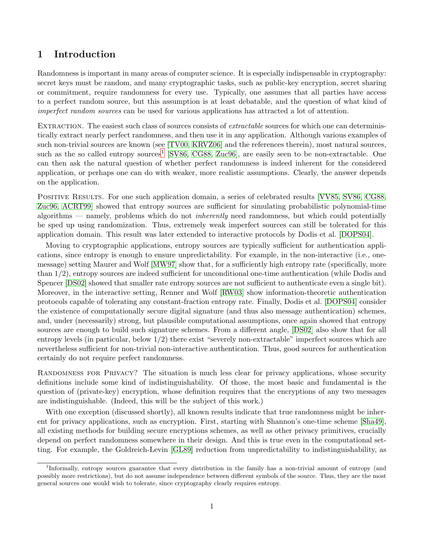## 1 Introduction

Randomness is important in many areas of computer science. It is especially indispensable in cryptography: secret keys must be random, and many cryptographic tasks, such as public-key encryption, secret sharing or commitment, require randomness for every use. Typically, one assumes that all parties have access to a perfect random source, but this assumption is at least debatable, and the question of what kind of imperfect random sources can be used for various applications has attracted a lot of attention.

EXTRACTION. The easiest such class of sources consists of *extractable* sources for which one can deterministically extract nearly perfect randomness, and then use it in any application. Although various examples of such non-trivial sources are known (see [\[TV00,](#page-16-0) [KRVZ06\]](#page-16-1) and the references therein), most natural sources, such as the so called entropy sources<sup>[1](#page-1-0)</sup> [\[SV86,](#page-16-2) [CG88,](#page-16-3) [Zuc96\]](#page-17-0), are easily seen to be non-extractable. One can then ask the natural question of whether perfect randomness is indeed inherent for the considered application, or perhaps one can do with weaker, more realistic assumptions. Clearly, the answer depends on the application.

Positive Results. For one such application domain, a series of celebrated results [\[VV85,](#page-17-1) [SV86,](#page-16-2) [CG88,](#page-16-3) [Zuc96,](#page-17-0) [ACRT99\]](#page-16-4) showed that entropy sources are sufficient for simulating probabilistic polynomial-time algorithms — namely, problems which do not inherently need randomness, but which could potentially be sped up using randomization. Thus, extremely weak imperfect sources can still be tolerated for this application domain. This result was later extended to interactive protocols by Dodis et al. [\[DOPS04\]](#page-16-5).

Moving to cryptographic applications, entropy sources are typically sufficient for authentication applications, since entropy is enough to ensure unpredictability. For example, in the non-interactive (i.e., onemessage) setting Maurer and Wolf [\[MW97\]](#page-16-6) show that, for a sufficiently high entropy rate (specifically, more than 1/2), entropy sources are indeed sufficient for unconditional one-time authentication (while Dodis and Spencer [\[DS02\]](#page-16-7) showed that smaller rate entropy sources are not sufficient to authenticate even a single bit). Moreover, in the interactive setting, Renner and Wolf [\[RW03\]](#page-16-8) show information-theoretic authentication protocols capable of tolerating any constant-fraction entropy rate. Finally, Dodis et al. [\[DOPS04\]](#page-16-5) consider the existence of computationally secure digital signature (and thus also message authentication) schemes, and, under (necessarily) strong, but plausible computational assumptions, once again showed that entropy sources are enough to build such signature schemes. From a different angle, [\[DS02\]](#page-16-7) also show that for all entropy levels (in particular, below 1/2) there exist "severely non-extractable" imperfect sources which are nevertheless sufficient for non-trivial non-interactive authentication. Thus, good sources for authentication certainly do not require perfect randomness.

Randomness for Privacy? The situation is much less clear for privacy applications, whose security definitions include some kind of indistinguishability. Of those, the most basic and fundamental is the question of (private-key) encryption, whose definition requires that the encryptions of any two messages are indistinguishable. (Indeed, this will be the subject of this work.)

With one exception (discussed shortly), all known results indicate that true randomness might be inherent for privacy applications, such as encryption. First, starting with Shannon's one-time scheme [\[Sha49\]](#page-16-9), all existing methods for building secure encryptions schemes, as well as other privacy primitives, crucially depend on perfect randomness somewhere in their design. And this is true even in the computational setting. For example, the Goldreich-Levin [\[GL89\]](#page-16-10) reduction from unpredictability to indistinguishability, as

<span id="page-1-0"></span><sup>&</sup>lt;sup>1</sup>Informally, entropy sources guarantee that every distribution in the family has a non-trivial amount of entropy (and possibly more restrictions), but do not assume independence between different symbols of the source. Thus, they are the most general sources one would wish to tolerate, since cryptography clearly requires entropy.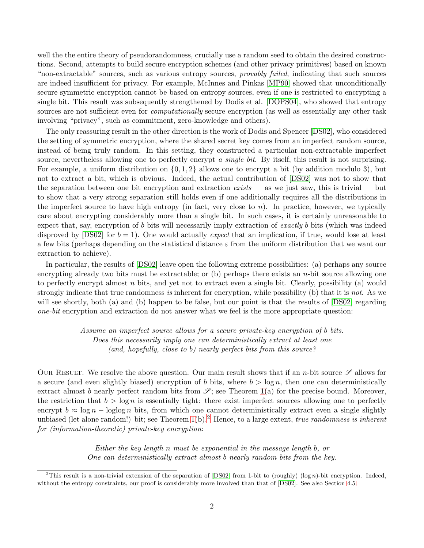well the the entire theory of pseudorandomness, crucially use a random seed to obtain the desired constructions. Second, attempts to build secure encryption schemes (and other privacy primitives) based on known "non-extractable" sources, such as various entropy sources, *provably failed*, indicating that such sources are indeed insufficient for privacy. For example, McInnes and Pinkas [\[MP90\]](#page-16-11) showed that unconditionally secure symmetric encryption cannot be based on entropy sources, even if one is restricted to encrypting a single bit. This result was subsequently strengthened by Dodis et al. [\[DOPS04\]](#page-16-5), who showed that entropy sources are not sufficient even for computationally secure encryption (as well as essentially any other task involving "privacy", such as commitment, zero-knowledge and others).

The only reassuring result in the other direction is the work of Dodis and Spencer [\[DS02\]](#page-16-7), who considered the setting of symmetric encryption, where the shared secret key comes from an imperfect random source, instead of being truly random. In this setting, they constructed a particular non-extractable imperfect source, nevertheless allowing one to perfectly encrypt a single bit. By itself, this result is not surprising. For example, a uniform distribution on  $\{0, 1, 2\}$  allows one to encrypt a bit (by addition modulo 3), but not to extract a bit, which is obvious. Indeed, the actual contribution of [\[DS02\]](#page-16-7) was not to show that the separation between one bit encryption and extraction  $exists$  — as we just saw, this is trivial — but to show that a very strong separation still holds even if one additionally requires all the distributions in the imperfect source to have high entropy (in fact, very close to  $n$ ). In practice, however, we typically care about encrypting considerably more than a single bit. In such cases, it is certainly unreasonable to expect that, say, encryption of b bits will necessarily imply extraction of exactly b bits (which was indeed disproved by [\[DS02\]](#page-16-7) for  $b = 1$ ). One would actually *expect* that an implication, if true, would lose at least a few bits (perhaps depending on the statistical distance  $\varepsilon$  from the uniform distribution that we want our extraction to achieve).

In particular, the results of [\[DS02\]](#page-16-7) leave open the following extreme possibilities: (a) perhaps any source encrypting already two bits must be extractable; or (b) perhaps there exists an  $n$ -bit source allowing one to perfectly encrypt almost n bits, and yet not to extract even a single bit. Clearly, possibility (a) would strongly indicate that true randomness is inherent for encryption, while possibility (b) that it is not. As we will see shortly, both (a) and (b) happen to be false, but our point is that the results of [\[DS02\]](#page-16-7) regarding one-bit encryption and extraction do not answer what we feel is the more appropriate question:

> Assume an imperfect source allows for a secure private-key encryption of b bits. Does this necessarily imply one can deterministically extract at least one (and, hopefully, close to b) nearly perfect bits from this source?

OUR RESULT. We resolve the above question. Our main result shows that if an *n*-bit source  $\mathscr{S}$  allows for a secure (and even slightly biased) encryption of b bits, where  $b > \log n$ , then one can deterministically extract almost b nearly perfect random bits from  $\mathscr{S}$ ; see Theorem [1\(](#page-4-0)a) for the precise bound. Moreover, the restriction that  $b > \log n$  is essentially tight: there exist imperfect sources allowing one to perfectly encrypt  $b \approx \log n - \log \log n$  bits, from which one cannot deterministically extract even a single slightly unbiased (let alone random!) bit; see Theorem  $1(b).<sup>2</sup>$  $1(b).<sup>2</sup>$  $1(b).<sup>2</sup>$  Hence, to a large extent, true randomness is inherent for (information-theoretic) private-key encryption:

> Either the key length n must be exponential in the message length b, or One can deterministically extract almost b nearly random bits from the key.

<span id="page-2-0"></span><sup>&</sup>lt;sup>2</sup>This result is a non-trivial extension of the separation of  $[DS02]$  from 1-bit to (roughly) (log n)-bit encryption. Indeed, without the entropy constraints, our proof is considerably more involved than that of [\[DS02\]](#page-16-7). See also Section [4.5.](#page-11-0)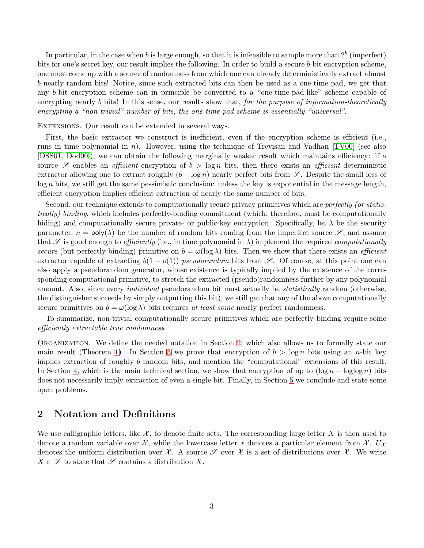In particular, in the case when b is large enough, so that it is infeasible to sample more than  $2^b$  (imperfect) bits for one's secret key, our result implies the following. In order to build a secure b-bit encryption scheme, one must come up with a source of randomness from which one can already deterministically extract almost b nearly random bits! Notice, since such extracted bits can then be used as a one-time pad, we get that any b-bit encryption scheme can in principle be converted to a "one-time-pad-like" scheme capable of encrypting nearly b bits! In this sense, our results show that, for the purpose of information-theoretically encrypting a "non-trivial" number of bits, the one-time pad scheme is essentially "universal".

EXTENSIONS. Our result can be extended in several ways.

First, the basic extractor we construct is inefficient, even if the encryption scheme is efficient (i.e., runs in time polynomial in n). However, using the technique of Trevisan and Vadhan  $[TV00]$  (see also [\[DSS01,](#page-16-12) [Dod00\]](#page-16-13)), we can obtain the following marginally weaker result which maintains efficiency: if a source  $\mathscr S$  enables an *efficient* encryption of  $b > \log n$  bits, then there exists an *efficient* deterministic extractor allowing one to extract roughly  $(b - \log n)$  nearly perfect bits from  $\mathscr S$ . Despite the small loss of  $\log n$  bits, we still get the same pessimistic conclusion: unless the key is exponential in the message length, efficient encryption implies efficient extraction of nearly the same number of bits.

Second, our technique extends to computationally secure privacy primitives which are *perfectly (or statis*tically) binding, which includes perfectly-binding commitment (which, therefore, must be computationally hiding) and computationally secure private- or public-key encryption. Specifically, let  $\lambda$  be the security parameter,  $n = \text{poly}(\lambda)$  be the number of random bits coming from the imperfect source  $\mathscr{S}$ , and assume that  $\mathscr S$  is good enough to *efficiently* (i.e., in time polynomial in  $\lambda$ ) implement the required *computationally* secure (but perfectly-binding) primitive on  $b = \omega(\log \lambda)$  bits. Then we show that there exists an *efficient* extractor capable of extracting  $b(1 - o(1))$  pseudorandom bits from  $\mathscr{S}$ . Of course, at this point one can also apply a pseudorandom generator, whose existence is typically implied by the existence of the corresponding computational primitive, to stretch the extracted (pseudo)randomness further by any polynomial amount. Also, since every *individual* pseudorandom bit must actually be *statistically* random (otherwise, the distinguisher succeeds by simply outputting this bit), we still get that any of the above computationally secure primitives on  $b = \omega(\log \lambda)$  bits requires at least some nearly perfect randomness.

To summarize, non-trivial computationally secure primitives which are perfectly binding require some efficiently extractable true randomness.

Organization. We define the needed notation in Section [2,](#page-3-0) which also allows us to formally state our main result (Theorem [1\)](#page-4-0). In Section [3](#page-5-0) we prove that encryption of  $b > \log n$  bits using an n-bit key implies extraction of roughly b random bits, and mention the "computational" extensions of this result. In Section [4,](#page-9-0) which is the main technical section, we show that encryption of up to  $(\log n - \log \log n)$  bits does not necessarily imply extraction of even a single bit. Finally, in Section [5](#page-15-0) we conclude and state some open problems.

## <span id="page-3-0"></span>2 Notation and Definitions

We use calligraphic letters, like  $\mathcal{X}$ , to denote finite sets. The corresponding large letter X is then used to denote a random variable over  $\mathcal{X}$ , while the lowercase letter x denotes a particular element from  $\mathcal{X}$ .  $U_{\mathcal{X}}$ denotes the uniform distribution over  $\mathcal{X}$ . A source  $\mathcal{S}$  over  $\mathcal{X}$  is a set of distributions over  $\mathcal{X}$ . We write  $X \in \mathscr{S}$  to state that  $\mathscr{S}$  contains a distribution X.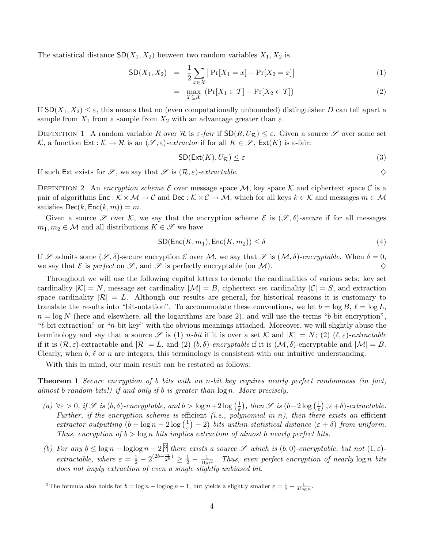<span id="page-4-2"></span>The statistical distance  $SD(X_1, X_2)$  between two random variables  $X_1, X_2$  is

$$
SD(X_1, X_2) = \frac{1}{2} \sum_{x \in \mathcal{X}} |Pr[X_1 = x] - Pr[X_2 = x]| \tag{1}
$$

$$
= \max_{\mathcal{T} \subseteq \mathcal{X}} (\Pr[X_1 \in \mathcal{T}] - \Pr[X_2 \in \mathcal{T}]) \tag{2}
$$

If  $SD(X_1, X_2) \leq \varepsilon$ , this means that no (even computationally unbounded) distinguisher D can tell apart a sample from  $X_1$  from a sample from  $X_2$  with an advantage greater than  $\varepsilon$ .

DEFINITION 1 A random variable R over R is  $\varepsilon$ -fair if  $SD(R, U_R) \leq \varepsilon$ . Given a source  $\mathscr S$  over some set K, a function Ext :  $K \to \mathcal{R}$  is an  $(\mathscr{S}, \varepsilon)$ -extractor if for all  $K \in \mathscr{S}$ , Ext $(K)$  is  $\varepsilon$ -fair:

$$
SD(Ext(K), U_{\mathcal{R}}) \le \varepsilon
$$
\n(3)

If such Ext exists for  $\mathscr{S}$ , we say that  $\mathscr{S}$  is  $(\mathcal{R}, \varepsilon)$ -extractable.

DEFINITION 2 An encryption scheme  $\mathcal E$  over message space M, key space K and ciphertext space C is a pair of algorithms  $\mathsf{Enc}: \mathcal{K} \times \mathcal{M} \to \mathcal{C}$  and  $\mathsf{Dec}: \mathcal{K} \times \mathcal{C} \to \mathcal{M}$ , which for all keys  $k \in \mathcal{K}$  and messages  $m \in \mathcal{M}$ satisfies  $\mathsf{Dec}(k,\mathsf{Enc}(k,m)) = m$ .

Given a source  $\mathscr S$  over K, we say that the encryption scheme  $\mathscr E$  is  $(\mathscr S,\delta)$ -secure if for all messages  $m_1, m_2 \in \mathcal{M}$  and all distributions  $K \in \mathcal{S}$  we have

$$
SD(Enc(K, m_1), Enc(K, m_2)) \le \delta
$$
\n<sup>(4)</sup>

If S admits some  $(\mathscr{S}, \delta)$ -secure encryption E over M, we say that S is  $(\mathcal{M}, \delta)$ -encryptable. When  $\delta = 0$ , we say that  $\mathcal E$  is perfect on  $\mathcal S$ , and  $\mathcal S$  is perfectly encryptable (on  $\mathcal M$ ).

Throughout we will use the following capital letters to denote the cardinalities of various sets: key set cardinality  $|\mathcal{K}| = N$ , message set cardinality  $|\mathcal{M}| = B$ , ciphertext set cardinality  $|\mathcal{C}| = S$ , and extraction space cardinality  $|\mathcal{R}| = L$ . Although our results are general, for historical reasons it is customary to translate the results into "bit-notation". To accommodate these conventions, we let  $b = \log B$ ,  $\ell = \log L$ ,  $n = \log N$  (here and elsewhere, all the logarithms are base 2), and will use the terms "b-bit encryption", " $\ell$ -bit extraction" or "n-bit key" with the obvious meanings attached. Moreover, we will slightly abuse the terminology and say that a source  $\mathscr S$  is (1) n-bit if it is over a set K and  $|\mathcal{K}| = N$ ; (2)  $(\ell, \varepsilon)$ -extractable if it is  $(\mathcal{R}, \varepsilon)$ -extractable and  $|\mathcal{R}| = L$ , and (2)  $(b, \delta)$ -encryptable if it is  $(\mathcal{M}, \delta)$ -encryptable and  $|\mathcal{M}| = B$ . Clearly, when  $b, \ell$  or n are integers, this terminology is consistent with our intuitive understanding.

With this in mind, our main result can be restated as follows:

<span id="page-4-0"></span>Theorem 1 Secure encryption of b bits with an n-bit key requires nearly perfect randomness (in fact, almost b random bits!) if and only if b is greater than  $\log n$ . More precisely,

- (a)  $\forall \varepsilon > 0$ , if  $\mathscr{S}$  is  $(b, \delta)$ -encryptable, and  $b > \log n + 2 \log \left( \frac{1}{\varepsilon} \right)$  $(\frac{1}{\varepsilon})$ , then  $\mathscr S$  is  $(b-2\log(\frac{1}{\varepsilon}))$  $(\frac{1}{\varepsilon})$ ,  $\varepsilon + \delta$ )-extractable. Further, if the encryption scheme is efficient (i.e., polynomial in  $n$ ), then there exists an efficient extractor outputting  $(b - \log n - 2 \log (\frac{1}{\varepsilon}))$  $(\frac{1}{\varepsilon})$  – 2) bits within statistical distance  $(\varepsilon + \delta)$  from uniform. Thus, encryption of  $b > \log n$  bits implies extraction of almost b nearly perfect bits.
- (b) For any  $b \le \log n \log \log n 2$ ,<sup>[3](#page-4-1)</sup> there exists a source  $\mathscr S$  which is  $(b, 0)$ -encryptable, but not  $(1, \varepsilon)$ extractable, where  $\varepsilon = \frac{1}{2} - 2^{(2b - \frac{n}{2b})} \ge \frac{1}{2} - \frac{1}{16n^2}$ . Thus, even perfect encryption of nearly  $\log n$  bits does not imply extraction of even a single slightly unbiased bit.

<span id="page-4-1"></span><sup>&</sup>lt;sup>3</sup>The formula also holds for  $b = \log n - \log \log n - 1$ , but yields a slightly smaller  $\varepsilon = \frac{1}{2} - \frac{1}{4 \log n}$ .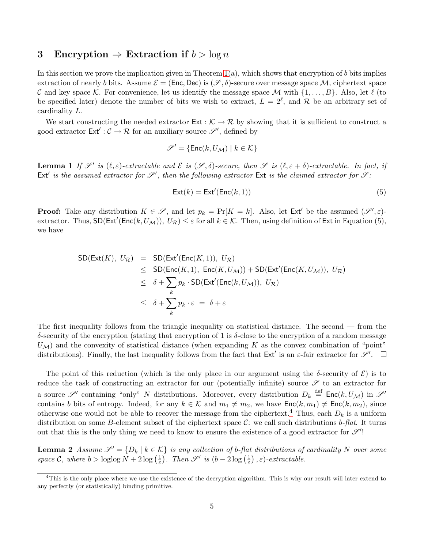## <span id="page-5-0"></span>3 Encryption  $\Rightarrow$  Extraction if  $b > \log n$

In this section we prove the implication given in Theorem  $1(a)$ , which shows that encryption of b bits implies extraction of nearly b bits. Assume  $\mathcal{E} = (Enc, Dec)$  is  $(\mathcal{S}, \delta)$ -secure over message space M, ciphertext space C and key space K. For convenience, let us identify the message space M with  $\{1,\ldots,B\}$ . Also, let  $\ell$  (to be specified later) denote the number of bits we wish to extract,  $L = 2^{\ell}$ , and R be an arbitrary set of cardinality L.

We start constructing the needed extractor  $Ext : \mathcal{K} \to \mathcal{R}$  by showing that it is sufficient to construct a good extractor  $\mathsf{Ext}' : \mathcal{C} \to \mathcal{R}$  for an auxiliary source  $\mathscr{S}'$ , defined by

$$
\mathscr{S}' = \{ \text{Enc}(k, U_{\mathcal{M}}) \mid k \in \mathcal{K} \}
$$

<span id="page-5-3"></span>**Lemma 1** If  $\mathscr{S}'$  is  $(\ell, \varepsilon)$ -extractable and  $\mathscr{E}$  is  $(\mathscr{S}, \delta)$ -secure, then  $\mathscr{S}$  is  $(\ell, \varepsilon + \delta)$ -extractable. In fact, if Ext' is the assumed extractor for  $\mathscr{S}'$ , then the following extractor Ext is the claimed extractor for  $\mathscr{S}$ :

<span id="page-5-1"></span>
$$
Ext(k) = Ext'(Enc(k, 1))
$$
\n(5)

**Proof:** Take any distribution  $K \in \mathscr{S}$ , and let  $p_k = \Pr[K = k]$ . Also, let  $\text{Ext}'$  be the assumed  $(\mathscr{S}', \varepsilon)$ extractor. Thus,  $SD(Ext'(Enc(k, U_M)), U_R) \leq \varepsilon$  for all  $k \in K$ . Then, using definition of Ext in Equation [\(5\)](#page-5-1), we have

$$
\begin{array}{rcl} \mathsf{SD}(\mathsf{Ext}(K),\ U_{\mathcal{R}}) & = & \mathsf{SD}(\mathsf{Ext}'(\mathsf{Enc}(K,1)),\ U_{\mathcal{R}}) \\ & \leq & \mathsf{SD}(\mathsf{Enc}(K,1),\ \mathsf{Enc}(K,U_{\mathcal{M}})) + \mathsf{SD}(\mathsf{Ext}'(\mathsf{Enc}(K,U_{\mathcal{M}})),\ U_{\mathcal{R}}) \\ & \leq & \delta + \sum_{k} p_k \cdot \mathsf{SD}(\mathsf{Ext}'(\mathsf{Enc}(k,U_{\mathcal{M}})),\ U_{\mathcal{R}}) \\ & \leq & \delta + \sum_{k} p_k \cdot \varepsilon \ = \ \delta + \varepsilon \end{array}
$$

The first inequality follows from the triangle inequality on statistical distance. The second — from the δ-security of the encryption (stating that encryption of 1 is δ-close to the encryption of a random message  $U_{\mathcal{M}}$ ) and the convexity of statistical distance (when expanding K as the convex combination of "point" distributions). Finally, the last inequality follows from the fact that  $Ext'$  is an  $\varepsilon$ -fair extractor for  $\mathscr{S}'$ .

The point of this reduction (which is the only place in our argument using the  $\delta$ -security of  $\mathcal{E}$ ) is to reduce the task of constructing an extractor for our (potentially infinite) source  $\mathscr S$  to an extractor for a source  $\mathscr{S}'$  containing "only" N distributions. Moreover, every distribution  $D_k \stackrel{\text{def}}{=} \text{Enc}(k, U_M)$  in  $\mathscr{S}'$ contains b bits of entropy. Indeed, for any  $k \in \mathcal{K}$  and  $m_1 \neq m_2$ , we have  $\textsf{Enc}(k, m_1) \neq \textsf{Enc}(k, m_2)$ , since otherwise one would not be able to recover the message from the ciphertext.<sup>[4](#page-5-2)</sup> Thus, each  $D_k$  is a uniform distribution on some B-element subset of the ciphertext space  $C$ : we call such distributions  $b$ -flat. It turns out that this is the only thing we need to know to ensure the existence of a good extractor for  $\mathscr{S}'$ !

<span id="page-5-4"></span>**Lemma 2** Assume  $\mathscr{S}' = \{D_k \mid k \in \mathcal{K}\}\$ is any collection of b-flat distributions of cardinality N over some space C, where  $b > \log \log N + 2 \log \left( \frac{1}{\varepsilon} \right)$  $\frac{1}{\varepsilon}$ ). Then  $\mathscr{S}'$  is  $(b-2\log\left(\frac{1}{\varepsilon}\right))$  $(\frac{1}{\varepsilon})$ ,  $\varepsilon$ )-extractable.

<span id="page-5-2"></span><sup>&</sup>lt;sup>4</sup>This is the only place where we use the existence of the decryption algorithm. This is why our result will later extend to any perfectly (or statistically) binding primitive.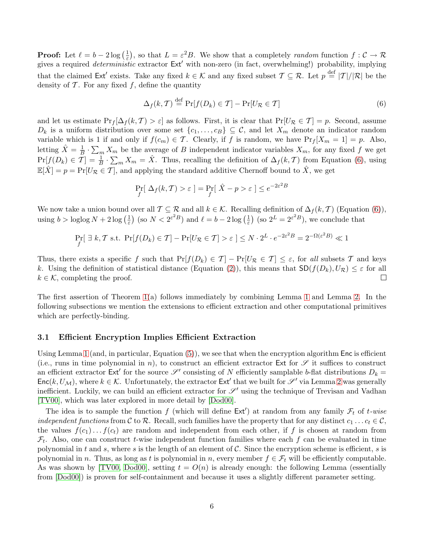**Proof:** Let  $\ell = b - 2 \log \left( \frac{1}{\epsilon} \right)$  $(\frac{1}{\varepsilon})$ , so that  $L = \varepsilon^2 B$ . We show that a completely *random* function  $f : C \to \mathcal{R}$ gives a required deterministic extractor Ext′ with non-zero (in fact, overwhelming!) probability, implying that the claimed Ext' exists. Take any fixed  $k \in \mathcal{K}$  and any fixed subset  $\mathcal{T} \subseteq \mathcal{R}$ . Let  $p \stackrel{\text{def}}{=} |\mathcal{T}|/|\mathcal{R}|$  be the density of  $\mathcal T$ . For any fixed f, define the quantity

<span id="page-6-0"></span>
$$
\Delta_f(k, \mathcal{T}) \stackrel{\text{def}}{=} \Pr[f(D_k) \in \mathcal{T}] - \Pr[U_{\mathcal{R}} \in \mathcal{T}] \tag{6}
$$

and let us estimate  $Pr_f[\Delta_f(k, T) > \varepsilon]$  as follows. First, it is clear that  $Pr[U_{\mathcal{R}} \in T] = p$ . Second, assume  $D_k$  is a uniform distribution over some set  $\{c_1, \ldots, c_B\} \subseteq \mathcal{C}$ , and let  $X_m$  denote an indicator random variable which is 1 if and only if  $f(c_m) \in \mathcal{T}$ . Clearly, if f is random, we have  $Pr_f[X_m = 1] = p$ . Also, letting  $\hat{X} = \frac{1}{B}$  $\frac{1}{B} \cdot \sum_{m} X_m$  be the average of B independent indicator variables  $X_m$ , for any fixed f we get  $Pr[f(D_k) \in T] = \frac{1}{B} \cdot \sum_m X_m = \hat{X}$ . Thus, recalling the definition of  $\Delta_f(k, T)$  from Equation [\(6\)](#page-6-0), using  $\mathbb{E}[X] = p = \Pr[U_{\mathcal{R}} \in \mathcal{T}]$ , and applying the standard additive Chernoff bound to X<sup>i</sup>, we get

$$
\Pr_f[\Delta_f(k, T) > \varepsilon] = \Pr_f[\hat{X} - p > \varepsilon] \le e^{-2\varepsilon^2 B}
$$

We now take a union bound over all  $\mathcal{T} \subseteq \mathcal{R}$  and all  $k \in \mathcal{K}$ . Recalling definition of  $\Delta_f(k, \mathcal{T})$  (Equation [\(6\)](#page-6-0)), using  $b > \log \log N + 2 \log \left( \frac{1}{\varepsilon} \right)$  $(\frac{1}{\varepsilon})$  (so  $N < 2^{\varepsilon^2 B}$ ) and  $\ell = b - 2 \log \left( \frac{1}{\varepsilon} \right)$  $(\frac{1}{\varepsilon})$  (so  $2^L = 2^{\varepsilon^2 B}$ ), we conclude that

$$
\Pr_f[\exists k, \mathcal{T} \text{ s.t. } \Pr[f(D_k) \in \mathcal{T}] - \Pr[U_{\mathcal{R}} \in \mathcal{T}] > \varepsilon] \le N \cdot 2^L \cdot e^{-2\varepsilon^2 B} = 2^{-\Omega(\varepsilon^2 B)} \ll 1
$$

Thus, there exists a specific f such that  $Pr[f(D_k) \in T] - Pr[U_{\mathcal{R}} \in T] \leq \varepsilon$ , for all subsets T and keys k. Using the definition of statistical distance (Equation [\(2\)](#page-4-2)), this means that  $\mathsf{SD}(f(D_k), U_{\mathcal{R}}) \leq \varepsilon$  for all  $k \in \mathcal{K}$ , completing the proof.  $\Box$ 

The first assertion of Theorem [1\(](#page-4-0)a) follows immediately by combining Lemma [1](#page-5-3) and Lemma [2.](#page-5-4) In the following subsections we mention the extensions to efficient extraction and other computational primitives which are perfectly-binding.

### 3.1 Efficient Encryption Implies Efficient Extraction

Using Lemma [1](#page-5-3) (and, in particular, Equation [\(5\)](#page-5-1)), we see that when the encryption algorithm Enc is efficient (i.e., runs in time polynomial in n), to construct an efficient extractor Ext for  $\mathscr S$  it suffices to construct an efficient extractor  $Ext'$  for the source  $\mathscr{S}'$  consisting of N efficiently samplable b-flat distributions  $D_k =$  $Enc(k, U_M)$ , where  $k \in K$ . Unfortunately, the extractor  $Ext'$  that we built for  $\mathscr{S}'$  via Lemma [2](#page-5-4) was generally inefficient. Luckily, we can build an efficient extractor for  $\mathscr{S}'$  using the technique of Trevisan and Vadhan [\[TV00\]](#page-16-0), which was later explored in more detail by [\[Dod00\]](#page-16-13).

<span id="page-6-1"></span>The idea is to sample the function f (which will define  $Ext'$ ) at random from any family  $\mathcal{F}_t$  of t-wise independent functions from C to R. Recall, such families have the property that for any distinct  $c_1 \ldots c_t \in \mathcal{C}$ , the values  $f(c_1) \ldots f(c_t)$  are random and independent from each other, if f is chosen at random from  $\mathcal{F}_t$ . Also, one can construct t-wise independent function families where each f can be evaluated in time polynomial in t and s, where s is the length of an element of  $\mathcal{C}$ . Since the encryption scheme is efficient, s is polynomial in n. Thus, as long as t is polynomial in n, every member  $f \in \mathcal{F}_t$  will be efficiently computable. As was shown by [\[TV00,](#page-16-0) [Dod00\]](#page-16-13), setting  $t = O(n)$  is already enough: the following Lemma (essentially from [\[Dod00\]](#page-16-13)) is proven for self-containment and because it uses a slightly different parameter setting.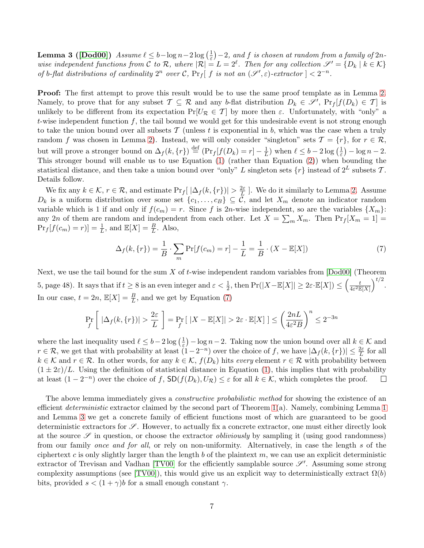**Lemma 3** ([\[Dod00\]](#page-16-13)) Assume  $\ell \leq b - \log n - 2 \log(\frac{1}{\varepsilon}) - 2$ , and f is chosen at random from a family of 2n-**EXECUTE:**  $\mathcal{E} \subseteq \mathcal{E}$  is  $\mathcal{E} \subseteq \mathcal{E}$  and f is chosen at random from a family by  $2\mathcal{E}$ <br>wise independent functions from C to R, where  $|\mathcal{R}| = L = 2^{\ell}$ . Then for any collection  $\mathcal{S}' = \{D_k | k \in \mathcal{K}\}\$ of b-flat distributions of cardinality  $2^n$  over C,  $Pr_f[f]$  is not an  $(\mathscr{S}', \varepsilon)$ -extractor  $] < 2^{-n}$ .

**Proof:** The first attempt to prove this result would be to use the same proof template as in Lemma [2.](#page-5-4) Namely, to prove that for any subset  $\mathcal{T} \subseteq \mathcal{R}$  and any b-flat distribution  $D_k \in \mathscr{S}'$ ,  $\Pr_f[f(D_k) \in \mathcal{T}]$  is unlikely to be different from its expectation  $Pr[U_{\mathcal{R}} \in \mathcal{T}]$  by more then  $\varepsilon$ . Unfortunately, with "only" a t-wise independent function  $f$ , the tail bound we would get for this undesirable event is not strong enough to take the union bound over all subsets  $\mathcal T$  (unless t is exponential in b, which was the case when a truly random f was chosen in Lemma [2\)](#page-5-4). Instead, we will only consider "singleton" sets  $\mathcal{T} = \{r\}$ , for  $r \in \mathcal{R}$ , but will prove a stronger bound on  $\Delta_f(k, \{r\}) \stackrel{\text{def}}{=} (\Pr_f[f(D_k) = r] - \frac{1}{L})$  $\frac{1}{L}$ ) when  $\ell \leq b - 2 \log \left( \frac{1}{\varepsilon} \right)$  $(\frac{1}{\varepsilon}) - \log n - 2.$ This stronger bound will enable us to use Equation  $(1)$  (rather than Equation  $(2)$ ) when bounding the statistical distance, and then take a union bound over "only" L singleton sets  $\{r\}$  instead of  $2^L$  subsets T. Details follow.

We fix any  $k \in \mathcal{K}$ ,  $r \in \mathcal{R}$ , and estimate  $\Pr_f[|\Delta_f(k, \{r\})| > \frac{2\varepsilon}{L}$  $\frac{2\varepsilon}{L}$  ]. We do it similarly to Lemma [2.](#page-5-4) Assume  $D_k$  is a uniform distribution over some set  $\{c_1, \ldots, c_B\} \subseteq \overline{C}$ , and let  $X_m$  denote an indicator random variable which is 1 if and only if  $f(c_m) = r$ . Since f is 2n-wise independent, so are the variables  $\{X_m\}$ : any 2n of them are random and independent from each other. Let  $X = \sum_m X_m$ . Then  $\Pr_f[X_m = 1] =$  $\Pr_f[f(c_m) = r] = \frac{1}{L}$ , and  $\mathbb{E}[X] = \frac{B}{L}$ . Also,

<span id="page-7-0"></span>
$$
\Delta_f(k, \{r\}) = \frac{1}{B} \cdot \sum_{m} \Pr[f(c_m) = r] - \frac{1}{L} = \frac{1}{B} \cdot (X - \mathbb{E}[X]) \tag{7}
$$

Next, we use the tail bound for the sum  $X$  of  $t$ -wise independent random variables from [\[Dod00\]](#page-16-13) (Theorem 5, page 48). It says that if  $t \geq 8$  is an even integer and  $\varepsilon < \frac{1}{2}$ , then  $Pr(|X-\mathbb{E}[X]| \geq 2\varepsilon \cdot \mathbb{E}[X]) \leq \left(\frac{t}{4\varepsilon^2 \mathbb{E}[X]}\right)$  $\frac{t}{4\varepsilon^2\mathbb{E}[X]}\Big)^{t/2}.$ In our case,  $t = 2n$ ,  $\mathbb{E}[X] = \frac{B}{L}$ , and we get by Equation [\(7\)](#page-7-0)

$$
\Pr_f\left[|\Delta_f(k,\{r\})| > \frac{2\varepsilon}{L}\right] = \Pr_f[|X - \mathbb{E}[X]| > 2\varepsilon \cdot \mathbb{E}[X]| \le \left(\frac{2nL}{4\varepsilon^2 B}\right)^n \le 2^{-3n}
$$

where the last inequality used  $\ell \leq b-2\log\left(\frac{1}{\varepsilon}\right)$  $(\frac{1}{\varepsilon}) - \log n - 2$ . Taking now the union bound over all  $k \in \mathcal{K}$  and  $r \in \mathcal{R}$ , we get that with probability at least  $(1 - 2^{-n})$  over the choice of f, we have  $|\Delta_f(k, \{r\})| \leq \frac{2\varepsilon}{L}$  for all  $k \in \mathcal{K}$  and  $r \in \mathcal{R}$ . In other words, for any  $k \in \mathcal{K}$ ,  $f(D_k)$  hits every element  $r \in \mathcal{R}$  with probability between  $(1 \pm 2\varepsilon)/L$ . Using the definition of statistical distance in Equation [\(1\)](#page-4-2), this implies that with probability at least  $(1 - 2^{-n})$  over the choice of f,  $SD(f(D_k), U_{\mathcal{R}}) \leq \varepsilon$  for all  $k \in \mathcal{K}$ , which completes the proof.  $\Box$ 

The above lemma immediately gives a *constructive probabilistic method* for showing the existence of an efficient *deterministic* extractor claimed by the second part of Theorem  $1(a)$ . Namely, combining Lemma [1](#page-5-3) and Lemma [3](#page-6-1) we get a concrete family of efficient functions most of which are guaranteed to be good deterministic extractors for  $\mathscr{S}$ . However, to actually fix a concrete extractor, one must either directly look at the source  $\mathscr S$  in question, or choose the extractor *obliviously* by sampling it (using good randomness) from our family once and for all, or rely on non-uniformity. Alternatively, in case the length s of the ciphertext c is only slightly larger than the length b of the plaintext  $m$ , we can use an explicit deterministic extractor of Trevisan and Vadhan [\[TV00\]](#page-16-0) for the efficiently samplable source  $\mathscr{S}'$ . Assuming some strong complexity assumptions (see [\[TV00\]](#page-16-0)), this would give us an explicit way to deterministically extract  $\Omega(b)$ bits, provided  $s < (1 + \gamma)b$  for a small enough constant  $\gamma$ .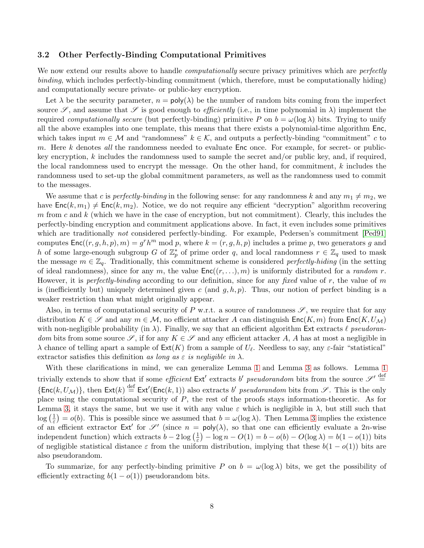### 3.2 Other Perfectly-Binding Computational Primitives

We now extend our results above to handle *computationally* secure privacy primitives which are *perfectly* binding, which includes perfectly-binding commitment (which, therefore, must be computationally hiding) and computationally secure private- or public-key encryption.

Let  $\lambda$  be the security parameter,  $n = poly(\lambda)$  be the number of random bits coming from the imperfect source  $\mathscr{S}$ , and assume that  $\mathscr{S}$  is good enough to *efficiently* (i.e., in time polynomial in  $\lambda$ ) implement the required *computationally secure* (but perfectly-binding) primitive P on  $b = \omega(\log \lambda)$  bits. Trying to unify all the above examples into one template, this means that there exists a polynomial-time algorithm Enc, which takes input  $m \in \mathcal{M}$  and "randomness"  $k \in \mathcal{K}$ , and outputs a perfectly-binding "commitment" c to m. Here k denotes all the randomness needed to evaluate Enc once. For example, for secret- or publickey encryption, k includes the randomness used to sample the secret and/or public key, and, if required, the local randomness used to encrypt the message. On the other hand, for commitment, k includes the randomness used to set-up the global commitment parameters, as well as the randomness used to commit to the messages.

We assume that c is perfectly-binding in the following sense: for any randomness k and any  $m_1 \neq m_2$ , we have  $\textsf{Enc}(k, m_1) \neq \textsf{Enc}(k, m_2)$ . Notice, we do not require any efficient "decryption" algorithm recovering m from c and  $k$  (which we have in the case of encryption, but not commitment). Clearly, this includes the perfectly-binding encryption and commitment applications above. In fact, it even includes some primitives which are traditionally *not* considered perfectly-binding. For example, Pedersen's commitment [\[Ped91\]](#page-16-14) computes  $Enc((r, g, h, p), m) = g<sup>r</sup> h<sup>m</sup> \text{ mod } p$ , where  $k = (r, g, h, p)$  includes a prime p, two generators g and h of some large-enough subgroup G of  $\mathbb{Z}_p^*$  of prime order q, and local randomness  $r \in \mathbb{Z}_q$  used to mask the message  $m \in \mathbb{Z}_q$ . Traditionally, this commitment scheme is considered *perfectly-hiding* (in the setting of ideal randomness), since for any m, the value  $Enc((r, \ldots), m)$  is uniformly distributed for a *random r*. However, it is *perfectly-binding* according to our definition, since for any *fixed* value of r, the value of m is (inefficiently but) uniquely determined given c (and  $g, h, p$ ). Thus, our notion of perfect binding is a weaker restriction than what might originally appear.

Also, in terms of computational security of P w.r.t. a source of randomness  $\mathscr{S}$ , we require that for any distribution  $K \in \mathscr{S}$  and any  $m \in \mathcal{M}$ , no efficient attacker A can distinguish  $\mathsf{Enc}(K, m)$  from  $\mathsf{Enc}(K, U_\mathcal{M})$ with non-negligible probability (in  $\lambda$ ). Finally, we say that an efficient algorithm Ext extracts  $\ell$  pseudorandom bits from some source  $\mathscr{S}$ , if for any  $K \in \mathscr{S}$  and any efficient attacker A, A has at most a negligible in  $\lambda$  chance of telling apart a sample of  $\text{Ext}(K)$  from a sample of  $U_{\ell}$ . Needless to say, any  $\varepsilon$ -fair "statistical" extractor satisfies this definition as long as  $\varepsilon$  is negligible in  $\lambda$ .

With these clarifications in mind, we can generalize Lemma [1](#page-5-3) and Lemma [3](#page-6-1) as follows. Lemma [1](#page-5-3) trivially extends to show that if some *efficient*  $Ext'$  extracts b' pseudorandom bits from the source  $\mathscr{S}' \stackrel{\text{def}}{=}$  $\{\textsf{Enc}(k, U_M)\}\$ , then  $\textsf{Ext}(k) \stackrel{\text{def}}{=} \textsf{Ext}'(\textsf{Enc}(k, 1))$  also extracts b' pseudorandom bits from  $\mathscr{S}$ . This is the only place using the computational security of  $P$ , the rest of the proofs stays information-theoretic. As for Lemma [3,](#page-6-1) it stays the same, but we use it with any value  $\varepsilon$  which is negligible in  $\lambda$ , but still such that  $\log\left(\frac{1}{\varepsilon}\right) = o(b)$ . This is possible since we assumed that  $b = \omega(\log \lambda)$ . Then Lemma [3](#page-6-1) implies the existence  $\log(\frac{1}{\epsilon}) = o(0)$ . This is possible since we assumed that  $o = \omega(\log \lambda)$ . Then Lemma 3 implies the existence of an efficient extractor Ext' for  $\mathscr{S}'$  (since  $n = \text{poly}(\lambda)$ , so that one can efficiently evaluate a 2n-wise independent function) which extracts  $b - 2 \log \left( \frac{1}{\varepsilon} \right)$  $(\frac{1}{\varepsilon}) - \log n - O(1) = b - o(b) - O(\log \lambda) = b(1 - o(1))$  bits of negligible statistical distance  $\varepsilon$  from the uniform distribution, implying that these  $b(1 - o(1))$  bits are also pseudorandom.

To summarize, for any perfectly-binding primitive P on  $b = \omega(\log \lambda)$  bits, we get the possibility of efficiently extracting  $b(1 - o(1))$  pseudorandom bits.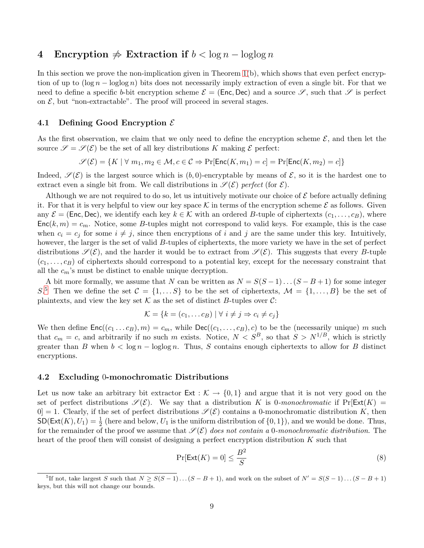## <span id="page-9-0"></span>4 Encryption  $\neq$  Extraction if  $b < \log n - \log \log n$

In this section we prove the non-implication given in Theorem  $1(b)$  $1(b)$ , which shows that even perfect encryption of up to  $(\log n - \log(\log n))$  bits does not necessarily imply extraction of even a single bit. For that we need to define a specific b-bit encryption scheme  $\mathcal{E} = (Enc, Dec)$  and a source  $\mathcal{S}$ , such that  $\mathcal{S}$  is perfect on  $\mathcal{E}$ , but "non-extractable". The proof will proceed in several stages.

## 4.1 Defining Good Encryption  $\mathcal E$

As the first observation, we claim that we only need to define the encryption scheme  $\mathcal{E}$ , and then let the source  $\mathscr{S} = \mathscr{S}(\mathcal{E})$  be the set of all key distributions K making  $\mathcal E$  perfect:

$$
\mathcal{S}(\mathcal{E}) = \{ K \mid \forall m_1, m_2 \in \mathcal{M}, c \in \mathcal{C} \Rightarrow \Pr[\mathsf{Enc}(K, m_1) = c] = \Pr[\mathsf{Enc}(K, m_2) = c] \}
$$

Indeed,  $\mathscr{S}(\mathcal{E})$  is the largest source which is  $(b, 0)$ -encryptable by means of  $\mathcal{E}$ , so it is the hardest one to extract even a single bit from. We call distributions in  $\mathscr{S}(\mathcal{E})$  perfect (for  $\mathcal{E}$ ).

Although we are not required to do so, let us intuitively motivate our choice of  $\mathcal E$  before actually defining it. For that it is very helpful to view our key space K in terms of the encryption scheme  $\mathcal E$  as follows. Given any  $\mathcal{E} = (Enc, Dec)$ , we identify each key  $k \in \mathcal{K}$  with an ordered B-tuple of ciphertexts  $(c_1, \ldots, c_B)$ , where  $Enc(k, m) = c_m$ . Notice, some B-tuples might not correspond to valid keys. For example, this is the case when  $c_i = c_j$  for some  $i \neq j$ , since then encryptions of i and j are the same under this key. Intuitively, however, the larger is the set of valid B-tuples of ciphertexts, the more variety we have in the set of perfect distributions  $\mathscr{S}(\mathcal{E})$ , and the harder it would be to extract from  $\mathscr{S}(\mathcal{E})$ . This suggests that every B-tuple  $(c_1, \ldots, c_B)$  of ciphertexts should correspond to a potential key, except for the necessary constraint that all the  $c_m$ 's must be distinct to enable unique decryption.

A bit more formally, we assume that N can be written as  $N = S(S-1)...(S-B+1)$  for some integer S.<sup>[5](#page-9-1)</sup> Then we define the set  $\mathcal{C} = \{1, ..., S\}$  to be the set of ciphertexts,  $\mathcal{M} = \{1, ..., B\}$  be the set of plaintexts, and view the key set  $K$  as the set of distinct B-tuples over  $C$ :

$$
\mathcal{K} = \{k = (c_1, \dots c_B) \mid \forall i \neq j \Rightarrow c_i \neq c_j\}
$$

We then define  $Enc((c_1 \ldots c_B), m) = c_m$ , while  $Dec((c_1, \ldots, c_B), c)$  to be the (necessarily unique) m such that  $c_m = c$ , and arbitrarily if no such m exists. Notice,  $N < S^B$ , so that  $S > N^{1/B}$ , which is strictly greater than B when  $b < \log n - \log \log n$ . Thus, S contains enough ciphertexts to allow for B distinct encryptions.

### 4.2 Excluding 0-monochromatic Distributions

Let us now take an arbitrary bit extractor  $Ext : \mathcal{K} \to \{0,1\}$  and argue that it is not very good on the set of perfect distributions  $\mathscr{S}(\mathcal{E})$ . We say that a distribution K is 0-monochromatic if Pr[Ext(K) =  $0$  = 1. Clearly, if the set of perfect distributions  $\mathscr{S}(\mathcal{E})$  contains a 0-monochromatic distribution K, then  $SD(Ext(K), U_1) = \frac{1}{2}$  (here and below,  $U_1$  is the uniform distribution of  $\{0, 1\}$ ), and we would be done. Thus, for the remainder of the proof we assume that  $\mathscr{S}(\mathcal{E})$  does not contain a 0-monochromatic distribution. The heart of the proof then will consist of designing a perfect encryption distribution  $K$  such that

<span id="page-9-2"></span>
$$
\Pr[\text{Ext}(K) = 0] \le \frac{B^2}{S} \tag{8}
$$

<span id="page-9-1"></span><sup>&</sup>lt;sup>5</sup>If not, take largest S such that  $N \geq S(S-1)...(S-B+1)$ , and work on the subset of  $N' = S(S-1)...(S-B+1)$ keys, but this will not change our bounds.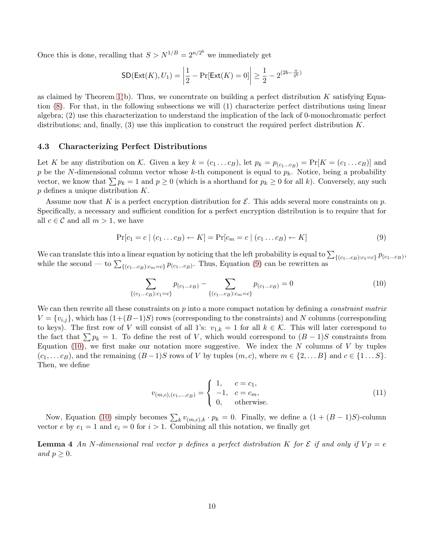Once this is done, recalling that  $S > N^{1/B} = 2^{n/2^b}$  we immediately get

$$
SD(Ext(K), U_1) = \left| \frac{1}{2} - Pr[Ext(K) = 0] \right| \ge \frac{1}{2} - 2^{(2b - \frac{n}{2^b})}
$$

as claimed by Theorem [1\(](#page-4-0)b). Thus, we concentrate on building a perfect distribution K satisfying Equation [\(8\)](#page-9-2). For that, in the following subsections we will (1) characterize perfect distributions using linear algebra; (2) use this characterization to understand the implication of the lack of 0-monochromatic perfect distributions; and, finally,  $(3)$  use this implication to construct the required perfect distribution K.

## 4.3 Characterizing Perfect Distributions

Let K be any distribution on K. Given a key  $k = (c_1 \dots c_B)$ , let  $p_k = p_{(c_1 \dots c_B)} = \Pr[K = (c_1 \dots c_B)]$  and p be the N-dimensional column vector whose k-th component is equal to  $p_k$ . Notice, being a probability vector, we know that  $\sum p_k = 1$  and  $p \ge 0$  (which is a shorthand for  $p_k \ge 0$  for all k). Conversely, any such  $p$  defines a unique distribution  $K$ .

Assume now that K is a perfect encryption distribution for  $\mathcal E$ . This adds several more constraints on p. Specifically, a necessary and sufficient condition for a perfect encryption distribution is to require that for all  $c \in \mathcal{C}$  and all  $m > 1$ , we have

<span id="page-10-0"></span>
$$
\Pr[c_1 = c \mid (c_1 \dots c_B) \leftarrow K] = \Pr[c_m = c \mid (c_1 \dots c_B) \leftarrow K]
$$
\n(9)

We can translate this into a linear equation by noticing that the left probability is equal to  $\sum_{\{(c_1...c_B):c_1=c\}} p_{(c_1...c_B)}$ , while the second — to  $\sum_{\{(c_1...c_B):c_m=c\}} p_{(c_1...c_B)}$ . Thus, Equation [\(9\)](#page-10-0) can be rewritten as

<span id="page-10-1"></span>
$$
\sum_{\{(c_1...c_B):c_1=c\}} p_{(c_1...c_B)} - \sum_{\{(c_1...c_B):c_m=c\}} p_{(c_1...c_B)} = 0 \tag{10}
$$

We can then rewrite all these constraints on  $p$  into a more compact notation by defining a *constraint matrix*  $V = \{v_{i,j}\}\$ , which has  $(1+(B-1)S)$  rows (corresponding to the constraints) and N columns (corresponding to keys). The first row of V will consist of all 1's:  $v_{1,k} = 1$  for all  $k \in \mathcal{K}$ . This will later correspond to the fact that  $\sum p_k = 1$ . To define the rest of V, which would correspond to  $(B - 1)S$  constraints from Equation [\(10\)](#page-10-1), we first make our notation more suggestive. We index the N columns of V by tuples  $(c_1, \ldots c_B)$ , and the remaining  $(B-1)S$  rows of V by tuples  $(m, c)$ , where  $m \in \{2, \ldots B\}$  and  $c \in \{1 \ldots S\}$ . Then, we define

$$
v_{(m,c),(c_1,...,c_B)} = \begin{cases} 1, & c = c_1, \\ -1, & c = c_m, \\ 0, & \text{otherwise.} \end{cases}
$$
 (11)

<span id="page-10-3"></span><span id="page-10-2"></span>Now, Equation [\(10\)](#page-10-1) simply becomes  $\sum_k v_{(m,c),k} \cdot p_k = 0$ . Finally, we define a  $(1 + (B - 1)S)$ -column vector e by  $e_1 = 1$  and  $e_i = 0$  for  $i > 1$ . Combining all this notation, we finally get

**Lemma 4** An N-dimensional real vector p defines a perfect distribution K for  $\mathcal E$  if and only if  $V p = e$ and  $p \geq 0$ .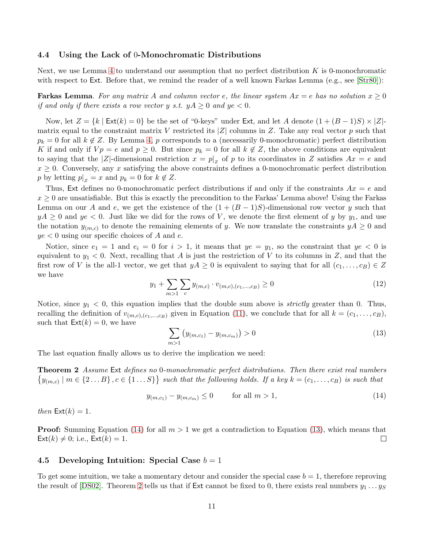### 4.4 Using the Lack of 0-Monochromatic Distributions

Next, we use Lemma [4](#page-10-2) to understand our assumption that no perfect distribution  $K$  is 0-monochromatic with respect to Ext. Before that, we remind the reader of a well known Farkas Lemma (e.g., see [\[Str80\]](#page-16-15)):

**Farkas Lemma.** For any matrix A and column vector e, the linear system  $Ax = e$  has no solution  $x > 0$ if and only if there exists a row vector y s.t.  $yA \geq 0$  and  $ye < 0$ .

Now, let  $Z = \{k \mid \text{Ext}(k) = 0\}$  be the set of "0-keys" under Ext, and let A denote  $(1 + (B - 1)S) \times |Z|$ matrix equal to the constraint matrix V restricted its  $|Z|$  columns in Z. Take any real vector p such that  $p_k = 0$  for all  $k \notin \mathbb{Z}$ . By Lemma [4,](#page-10-2) p corresponds to a (necessarily 0-monochromatic) perfect distribution K if and only if  $V p = e$  and  $p \ge 0$ . But since  $p_k = 0$  for all  $k \notin \mathbb{Z}$ , the above conditions are equivalent to saying that the |Z|-dimensional restriction  $x = p|_Z$  of p to its coordinates in Z satisfies  $Ax = e$  and  $x \geq 0$ . Conversely, any x satisfying the above constraints defines a 0-monochromatic perfect distribution p by letting  $p|_Z = x$  and  $p_k = 0$  for  $k \notin Z$ .

Thus, Ext defines no 0-monochromatic perfect distributions if and only if the constraints  $Ax = e$  and  $x \geq 0$  are unsatisfiable. But this is exactly the precondition to the Farkas' Lemma above! Using the Farkas Lemma on our A and e, we get the existence of the  $(1 + (B - 1)S)$ -dimensional row vector y such that  $yA \geq 0$  and  $ye < 0$ . Just like we did for the rows of V, we denote the first element of y by  $y_1$ , and use the notation  $y_{(m,c)}$  to denote the remaining elements of y. We now translate the constraints  $yA \geq 0$  and  $ye < 0$  using our specific choices of A and e.

Notice, since  $e_1 = 1$  and  $e_i = 0$  for  $i > 1$ , it means that  $ye = y_1$ , so the constraint that  $ye < 0$  is equivalent to  $y_1 < 0$ . Next, recalling that A is just the restriction of V to its columns in Z, and that the first row of V is the all-1 vector, we get that  $yA \geq 0$  is equivalent to saying that for all  $(c_1, \ldots, c_B) \in Z$ we have

$$
y_1 + \sum_{m>1} \sum_c y_{(m,c)} \cdot v_{(m,c),(c_1,\dots,c_B)} \ge 0
$$
\n(12)

<span id="page-11-2"></span>Notice, since  $y_1 < 0$ , this equation implies that the double sum above is *strictly* greater than 0. Thus, recalling the definition of  $v_{(m,c),(c_1,...,c_B)}$  given in Equation [\(11\)](#page-10-3), we conclude that for all  $k = (c_1,...,c_B)$ , such that  $\textsf{Ext}(k) = 0$ , we have

<span id="page-11-1"></span>
$$
\sum_{m>1} (y_{(m,c_1)} - y_{(m,c_m)}) > 0 \tag{13}
$$

<span id="page-11-3"></span>The last equation finally allows us to derive the implication we need:

Theorem 2 Assume Ext defines no 0-monochromatic perfect distributions. Then there exist real numbers  $\{y_{(m,c)} \mid m \in \{2...B\}, c \in \{1...S\}\}\$  such that the following holds. If a key  $k = (c_1, \ldots, c_B)$  is such that

$$
y_{(m,c_1)} - y_{(m,c_m)} \le 0
$$
 for all  $m > 1$ , (14)

then  $\text{Ext}(k) = 1$ .

**Proof:** Summing Equation [\(14\)](#page-11-1) for all  $m > 1$  we get a contradiction to Equation [\(13\)](#page-11-2), which means that  $\textsf{Ext}(k) \neq 0$ ; i.e.,  $\textsf{Ext}(k) = 1$ .  $\Box$ 

### <span id="page-11-0"></span>4.5 Developing Intuition: Special Case  $b = 1$

To get some intuition, we take a momentary detour and consider the special case  $b = 1$ , therefore reproving the result of [\[DS02\]](#page-16-7). Theorem [2](#page-11-3) tells us that if Ext cannot be fixed to 0, there exists real numbers  $y_1 \ldots y_S$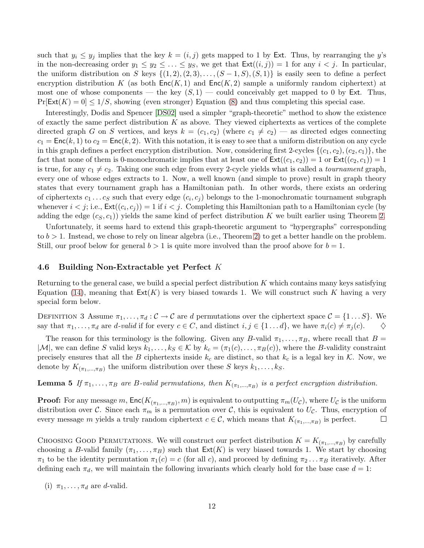such that  $y_i \leq y_j$  implies that the key  $k = (i, j)$  gets mapped to 1 by Ext. Thus, by rearranging the y's in the non-decreasing order  $y_1 \le y_2 \le \ldots \le y_S$ , we get that  $\text{Ext}((i,j)) = 1$  for any  $i < j$ . In particular, the uniform distribution on S keys  $\{(1, 2), (2, 3), \ldots, (S-1, S), (S, 1)\}\$ is easily seen to define a perfect encryption distribution K (as both  $Enc(K, 1)$  and  $Enc(K, 2)$  sample a uniformly random ciphertext) at most one of whose components — the key  $(S, 1)$  — could conceivably get mapped to 0 by Ext. Thus,  $Pr[Ext(K) = 0] \le 1/S$ , showing (even stronger) Equation [\(8\)](#page-9-2) and thus completing this special case.

Interestingly, Dodis and Spencer [\[DS02\]](#page-16-7) used a simpler "graph-theoretic" method to show the existence of exactly the same perfect distribution  $K$  as above. They viewed ciphertexts as vertices of the complete directed graph G on S vertices, and keys  $k = (c_1, c_2)$  (where  $c_1 \neq c_2$ ) — as directed edges connecting  $c_1 = \text{Enc}(k, 1)$  to  $c_2 = \text{Enc}(k, 2)$ . With this notation, it is easy to see that a uniform distribution on any cycle in this graph defines a perfect encryption distribution. Now, considering first 2-cycles  $\{(c_1, c_2), (c_2, c_1)\}\$ , the fact that none of them is 0-monochromatic implies that at least one of  $\text{Ext}((c_1, c_2)) = 1$  or  $\text{Ext}((c_2, c_1)) = 1$ is true, for any  $c_1 \neq c_2$ . Taking one such edge from every 2-cycle yields what is called a *tournament* graph, every one of whose edges extracts to 1. Now, a well known (and simple to prove) result in graph theory states that every tournament graph has a Hamiltonian path. In other words, there exists an ordering of ciphertexts  $c_1 \ldots c_S$  such that every edge  $(c_i, c_j)$  belongs to the 1-monochromatic tournament subgraph whenever  $i < j$ ; i.e.,  $\textsf{Ext}((c_i, c_j)) = 1$  if  $i < j$ . Completing this Hamiltonian path to a Hamiltonian cycle (by adding the edge  $(c_S, c_1)$ ) yields the same kind of perfect distribution K we built earlier using Theorem [2.](#page-11-3)

Unfortunately, it seems hard to extend this graph-theoretic argument to "hypergraphs" corresponding to  $b > 1$ . Instead, we chose to rely on linear algebra (i.e., Theorem [2\)](#page-11-3) to get a better handle on the problem. Still, our proof below for general  $b > 1$  is quite more involved than the proof above for  $b = 1$ .

## 4.6 Building Non-Extractable yet Perfect K

Returning to the general case, we build a special perfect distribution  $K$  which contains many keys satisfying Equation [\(14\)](#page-11-1), meaning that  $\text{Ext}(K)$  is very biased towards 1. We will construct such K having a very special form below.

DEFINITION 3 Assume  $\pi_1, \ldots, \pi_d : C \to C$  are d permutations over the ciphertext space  $C = \{1 \ldots S\}$ . We say that  $\pi_1, \ldots, \pi_d$  are d-valid if for every  $c \in C$ , and distinct  $i, j \in \{1 \ldots d\}$ , we have  $\pi_i(c) \neq \pi_j(c)$ .  $\diamondsuit$ 

The reason for this terminology is the following. Given any B-valid  $\pi_1, \ldots, \pi_B$ , where recall that  $B =$  $|\mathcal{M}|$ , we can define S valid keys  $k_1, \ldots, k_S \in \mathcal{K}$  by  $k_c = (\pi_1(c), \ldots, \pi_B(c))$ , where the B-validity constraint precisely ensures that all the B ciphertexts inside  $k_c$  are distinct, so that  $k_c$  is a legal key in K. Now, we denote by  $K_{(\pi_1,\ldots,\pi_B)}$  the uniform distribution over these S keys  $k_1,\ldots,k_S$ .

<span id="page-12-0"></span>**Lemma 5** If  $\pi_1, \ldots, \pi_B$  are B-valid permutations, then  $K_{(\pi_1, \ldots, \pi_B)}$  is a perfect encryption distribution.

**Proof:** For any message  $m$ ,  $\mathsf{Enc}(K_{(\pi_1,...,\pi_B)}, m)$  is equivalent to outputting  $\pi_m(U_{\mathcal{C}})$ , where  $U_{\mathcal{C}}$  is the uniform distribution over C. Since each  $\pi_m$  is a permutation over C, this is equivalent to  $U_c$ . Thus, encryption of every message m yields a truly random ciphertext  $c \in \mathcal{C}$ , which means that  $K_{(\pi_1,\ldots,\pi_B)}$  is perfect.  $\Box$ 

CHOOSING GOOD PERMUTATIONS. We will construct our perfect distribution  $K = K_{(\pi_1,...,\pi_B)}$  by carefully choosing a B-valid family  $(\pi_1, \ldots, \pi_B)$  such that  $\text{Ext}(K)$  is very biased towards 1. We start by choosing  $\pi_1$  to be the identity permutation  $\pi_1(c) = c$  (for all c), and proceed by defining  $\pi_2 \dots \pi_B$  iteratively. After defining each  $\pi_d$ , we will maintain the following invariants which clearly hold for the base case  $d = 1$ :

(i) 
$$
\pi_1, \ldots, \pi_d
$$
 are *d*-valid.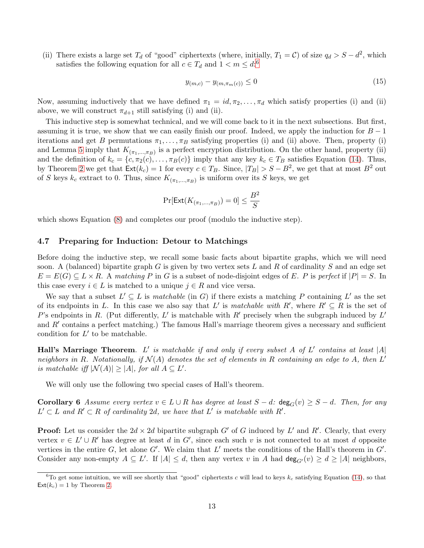(ii) There exists a large set  $T_d$  of "good" ciphertexts (where, initially,  $T_1 = C$ ) of size  $q_d > S - d^2$ , which satisfies the following equation for all  $c \in T_d$  and  $1 < m \leq d$ <sup>[6](#page-13-0)</sup>.

<span id="page-13-2"></span>
$$
y_{(m,c)} - y_{(m,\pi_m(c))} \le 0
$$
\n(15)

Now, assuming inductively that we have defined  $\pi_1 = id, \pi_2, \ldots, \pi_d$  which satisfy properties (i) and (ii) above, we will construct  $\pi_{d+1}$  still satisfying (i) and (ii).

This inductive step is somewhat technical, and we will come back to it in the next subsections. But first, assuming it is true, we show that we can easily finish our proof. Indeed, we apply the induction for  $B - 1$ iterations and get B permutations  $\pi_1, \ldots, \pi_B$  satisfying properties (i) and (ii) above. Then, property (i) and Lemma [5](#page-12-0) imply that  $K_{(\pi_1,\ldots,\pi_B)}$  is a perfect encryption distribution. On the other hand, property (ii) and the definition of  $k_c = \{c, \pi_2(c), \ldots, \pi_B(c)\}\$ imply that any key  $k_c \in T_B$  satisfies Equation [\(14\)](#page-11-1). Thus, by Theorem [2](#page-11-3) we get that  $\text{\sf Ext}(k_c) = 1$  for every  $c \in T_B$ . Since,  $|T_B| > S - B^2$ , we get that at most  $B^2$  out of S keys  $k_c$  extract to 0. Thus, since  $K_{(\pi_1,\ldots,\pi_B)}$  is uniform over its S keys, we get

$$
\Pr[\mathsf{Ext}(K_{(\pi_1,\ldots,\pi_B)})=0] \leq \frac{B^2}{S}
$$

which shows Equation [\(8\)](#page-9-2) and completes our proof (modulo the inductive step).

## 4.7 Preparing for Induction: Detour to Matchings

Before doing the inductive step, we recall some basic facts about bipartite graphs, which we will need soon. A (balanced) bipartite graph  $G$  is given by two vertex sets  $L$  and  $R$  of cardinality  $S$  and an edge set  $E = E(G) \subseteq L \times R$ . A matching P in G is a subset of node-disjoint edges of E. P is perfect if  $|P| = S$ . In this case every  $i \in L$  is matched to a unique  $j \in R$  and vice versa.

We say that a subset  $L' \subseteq L$  is *matchable* (in G) if there exists a matching P containing L' as the set of its endpoints in L. In this case we also say that L' is matchable with R', where  $R' \subseteq R$  is the set of P's endpoints in R. (Put differently,  $L'$  is matchable with  $R'$  precisely when the subgraph induced by  $L'$ and  $R'$  contains a perfect matching.) The famous Hall's marriage theorem gives a necessary and sufficient condition for  $L'$  to be matchable.

Hall's Marriage Theorem. L' is matchable if and only if every subset A of L' contains at least |A| neighbors in R. Notationally, if  $\mathcal{N}(A)$  denotes the set of elements in R containing an edge to A, then  $L'$ is matchable iff  $|\mathcal{N}(A)| \geq |A|$ , for all  $A \subseteq L'$ .

We will only use the following two special cases of Hall's theorem.

<span id="page-13-1"></span>**Corollary 6** Assume every vertex  $v \in L \cup R$  has degree at least  $S - d$ :  $\deg_G(v) \geq S - d$ . Then, for any  $L' \subset L$  and  $R' \subset R$  of cardinality 2d, we have that  $L'$  is matchable with  $R'$ .

**Proof:** Let us consider the  $2d \times 2d$  bipartite subgraph G' of G induced by L' and R'. Clearly, that every vertex  $v \in L' \cup R'$  has degree at least d in G', since each such v is not connected to at most d opposite vertices in the entire  $G$ , let alone  $G'$ . We claim that  $L'$  meets the conditions of the Hall's theorem in  $G'$ . Consider any non-empty  $A \subseteq L'$ . If  $|A| \leq d$ , then any vertex v in A had  $\deg_{G'}(v) \geq d \geq |A|$  neighbors,

<span id="page-13-0"></span><sup>&</sup>lt;sup>6</sup>To get some intuition, we will see shortly that "good" ciphertexts c will lead to keys  $k_c$  satisfying Equation [\(14\)](#page-11-1), so that  $\text{Ext}(k_c) = 1$  by Theorem [2.](#page-11-3)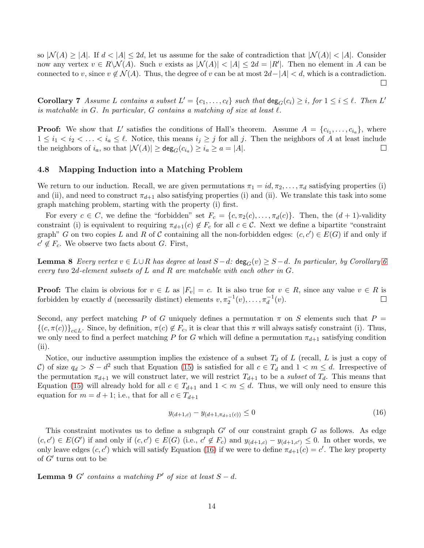so  $|\mathcal{N}(A)| \geq |A|$ . If  $d < |A| \leq 2d$ , let us assume for the sake of contradiction that  $|\mathcal{N}(A)| < |A|$ . Consider now any vertex  $v \in R \setminus \mathcal{N}(A)$ . Such v exists as  $|\mathcal{N}(A)| < |A| \leq 2d = |R'|$ . Then no element in A can be connected to v, since  $v \notin \mathcal{N}(A)$ . Thus, the degree of v can be at most  $2d-|A| < d$ , which is a contradiction.  $\Box$ 

<span id="page-14-1"></span>**Corollary 7** Assume L contains a subset  $L' = \{c_1, \ldots, c_\ell\}$  such that  $\deg_G(c_i) \geq i$ , for  $1 \leq i \leq \ell$ . Then L' is matchable in  $G$ . In particular,  $G$  contains a matching of size at least  $\ell$ .

**Proof:** We show that L' satisfies the conditions of Hall's theorem. Assume  $A = \{c_{i_1}, \ldots, c_{i_a}\}\$ , where  $1 \leq i_1 < i_2 < \ldots < i_a \leq \ell$ . Notice, this means  $i_j \geq j$  for all j. Then the neighbors of A at least include the neighbors of  $i_a$ , so that  $|\mathcal{N}(A)| \ge \deg_G(c_{i_a}) \ge i_a \ge a = |A|$ .  $\Box$ 

## 4.8 Mapping Induction into a Matching Problem

We return to our induction. Recall, we are given permutations  $\pi_1 = id, \pi_2, \ldots, \pi_d$  satisfying properties (i) and (ii), and need to construct  $\pi_{d+1}$  also satisfying properties (i) and (ii). We translate this task into some graph matching problem, starting with the property (i) first.

For every  $c \in C$ , we define the "forbidden" set  $F_c = \{c, \pi_2(c), \ldots, \pi_d(c)\}\$ . Then, the  $(d+1)$ -validity constraint (i) is equivalent to requiring  $\pi_{d+1}(c) \notin F_c$  for all  $c \in \mathcal{C}$ . Next we define a bipartite "constraint" graph" G on two copies L and R of C containing all the non-forbidden edges:  $(c, c') \in E(G)$  if and only if  $c' \notin F_c$ . We observe two facts about G. First,

<span id="page-14-3"></span>**Lemma 8** Every vertex  $v \in L \cup R$  has degree at least  $S - d$ :  $\deg_G(v) \geq S - d$ . In particular, by Corollary [6](#page-13-1) every two 2d-element subsets of  $L$  and  $R$  are matchable with each other in  $G$ .

**Proof:** The claim is obvious for  $v \in L$  as  $|F_v| = c$ . It is also true for  $v \in R$ , since any value  $v \in R$  is forbidden by exactly d (necessarily distinct) elements  $v, \pi_2^{-1}(v), \ldots, \pi_d^{-1}(v)$ .  $\Box$ 

Second, any perfect matching P of G uniquely defines a permutation  $\pi$  on S elements such that  $P =$  $\{(c, \pi(c))\}_{c \in L}$ . Since, by definition,  $\pi(c) \notin F_c$ , it is clear that this  $\pi$  will always satisfy constraint (i). Thus, we only need to find a perfect matching P for G which will define a permutation  $\pi_{d+1}$  satisfying condition (ii).

Notice, our inductive assumption implies the existence of a subset  $T_d$  of L (recall, L is just a copy of C) of size  $q_d > S - d^2$  such that Equation [\(15\)](#page-13-2) is satisfied for all  $c \in T_d$  and  $1 < m \leq d$ . Irrespective of the permutation  $\pi_{d+1}$  we will construct later, we will restrict  $T_{d+1}$  to be a *subset* of  $T_d$ . This means that Equation [\(15\)](#page-13-2) will already hold for all  $c \in T_{d+1}$  and  $1 < m \le d$ . Thus, we will only need to ensure this equation for  $m = d + 1$ ; i.e., that for all  $c \in T_{d+1}$ 

<span id="page-14-0"></span>
$$
y_{(d+1,c)} - y_{(d+1,\pi_{d+1}(c))} \le 0 \tag{16}
$$

This constraint motivates us to define a subgraph  $G'$  of our constraint graph  $G$  as follows. As edge  $(c, c') \in E(G')$  if and only if  $(c, c') \in E(G)$  (i.e.,  $c' \notin F_c$ ) and  $y_{(d+1,c)} - y_{(d+1,c')} \leq 0$ . In other words, we only leave edges  $(c, c')$  which will satisfy Equation [\(16\)](#page-14-0) if we were to define  $\pi_{d+1}(c) = c'$ . The key property of G′ turns out to be

<span id="page-14-2"></span>**Lemma 9**  $G'$  contains a matching  $P'$  of size at least  $S - d$ .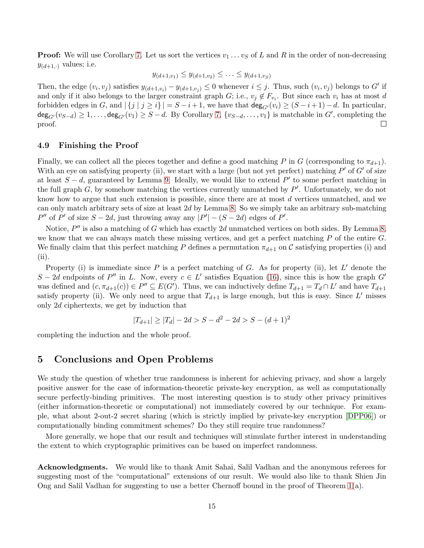**Proof:** We will use Corollary [7.](#page-14-1) Let us sort the vertices  $v_1 \ldots v_S$  of L and R in the order of non-decreasing  $y_{(d+1,\cdot)}$  values; i.e.

$$
y_{(d+1,v_1)} \leq y_{(d+1,v_2)} \leq \ldots \leq y_{(d+1,v_S)}
$$

Then, the edge  $(v_i, v_j)$  satisfies  $y_{(d+1,v_i)} - y_{(d+1,v_j)} \leq 0$  whenever  $i \leq j$ . Thus, such  $(v_i, v_j)$  belongs to G' if and only if it also belongs to the larger constraint graph G; i.e.,  $v_j \notin F_{v_i}$ . But since each  $v_i$  has at most d forbidden edges in G, and  $|\{j \mid j \geq i\}| = S - i + 1$ , we have that  $\deg_{G'}(v_i) \geq (S - i + 1) - d$ . In particular,  $deg_{G'}(v_{S-d}) \geq 1, \ldots, deg_{G'}(v_1) \geq S-d.$  By Corollary [7,](#page-14-1)  $\{v_{S-d}, \ldots, v_1\}$  is matchable in  $G'$ , completing the proof.  $\Box$ 

### 4.9 Finishing the Proof

Finally, we can collect all the pieces together and define a good matching P in G (corresponding to  $\pi_{d+1}$ ). With an eye on satisfying property (ii), we start with a large (but not yet perfect) matching  $P'$  of  $G'$  of size at least  $S - d$ , guaranteed by Lemma [9.](#page-14-2) Ideally, we would like to extend P' to some perfect matching in the full graph  $G$ , by somehow matching the vertices currently unmatched by  $P'$ . Unfortunately, we do not know how to argue that such extension is possible, since there are at most d vertices unmatched, and we can only match arbitrary sets of size at least 2d by Lemma [8.](#page-14-3) So we simply take an arbitrary sub-matching  $P''$  of  $P'$  of size  $S - 2d$ , just throwing away any  $|P'| - (S - 2d)$  edges of  $P'$ .

Notice,  $P''$  is also a matching of G which has exactly 2d unmatched vertices on both sides. By Lemma [8,](#page-14-3) we know that we can always match these missing vertices, and get a perfect matching  $P$  of the entire  $G$ . We finally claim that this perfect matching P defines a permutation  $\pi_{d+1}$  on C satisfying properties (i) and (ii).

Property (i) is immediate since  $P$  is a perfect matching of  $G$ . As for property (ii), let  $L'$  denote the S – 2d endpoints of P'' in L. Now, every  $c \in L'$  satisfies Equation [\(16\)](#page-14-0), since this is how the graph G' was defined and  $(c, \pi_{d+1}(c)) \in P'' \subseteq E(G')$ . Thus, we can inductively define  $T_{d+1} = T_d \cap L'$  and have  $T_{d+1}$ satisfy property (ii). We only need to argue that  $T_{d+1}$  is large enough, but this is easy. Since L' misses only 2d ciphertexts, we get by induction that

$$
|T_{d+1}| \ge |T_d| - 2d > S - d^2 - 2d > S - (d+1)^2
$$

<span id="page-15-0"></span>completing the induction and the whole proof.

## 5 Conclusions and Open Problems

We study the question of whether true randomness is inherent for achieving privacy, and show a largely positive answer for the case of information-theoretic private-key encryption, as well as computationally secure perfectly-binding primitives. The most interesting question is to study other privacy primitives (either information-theoretic or computational) not immediately covered by our technique. For example, what about 2-out-2 secret sharing (which is strictly implied by private-key encryption [\[DPP06\]](#page-16-16)) or computationally binding commitment schemes? Do they still require true randomness?

More generally, we hope that our result and techniques will stimulate further interest in understanding the extent to which cryptographic primitives can be based on imperfect randomness.

Acknowledgments. We would like to thank Amit Sahai, Salil Vadhan and the anonymous referees for suggesting most of the "computational" extensions of our result. We would also like to thank Shien Jin Ong and Salil Vadhan for suggesting to use a better Chernoff bound in the proof of Theorem [1\(](#page-4-0)a).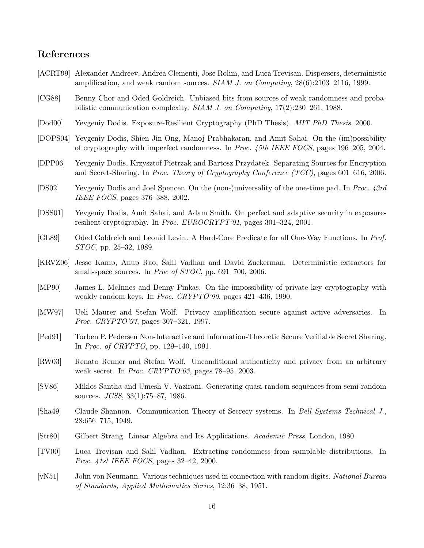## <span id="page-16-4"></span>References

- [ACRT99] Alexander Andreev, Andrea Clementi, Jose Rolim, and Luca Trevisan. Dispersers, deterministic amplification, and weak random sources. SIAM J. on Computing, 28(6):2103–2116, 1999.
- <span id="page-16-3"></span>[CG88] Benny Chor and Oded Goldreich. Unbiased bits from sources of weak randomness and probabilistic communication complexity. SIAM J. on Computing,  $17(2):230-261$ , 1988.
- <span id="page-16-13"></span><span id="page-16-5"></span>[Dod00] Yevgeniy Dodis. Exposure-Resilient Cryptography (PhD Thesis). MIT PhD Thesis, 2000.
- [DOPS04] Yevgeniy Dodis, Shien Jin Ong, Manoj Prabhakaran, and Amit Sahai. On the (im)possibility of cryptography with imperfect randomness. In Proc. 45th IEEE FOCS, pages 196–205, 2004.
- <span id="page-16-16"></span>[DPP06] Yevgeniy Dodis, Krzysztof Pietrzak and Bartosz Przydatek. Separating Sources for Encryption and Secret-Sharing. In Proc. Theory of Cryptography Conference (TCC), pages 601–616, 2006.
- <span id="page-16-7"></span>[DS02] Yevgeniy Dodis and Joel Spencer. On the (non-)universality of the one-time pad. In Proc. 43rd IEEE FOCS, pages 376–388, 2002.
- <span id="page-16-12"></span><span id="page-16-10"></span>[DSS01] Yevgeniy Dodis, Amit Sahai, and Adam Smith. On perfect and adaptive security in exposureresilient cryptography. In Proc. EUROCRYPT'01, pages 301–324, 2001.
- [GL89] Oded Goldreich and Leonid Levin. A Hard-Core Predicate for all One-Way Functions. In Prof. STOC, pp. 25–32, 1989.
- <span id="page-16-1"></span>[KRVZ06] Jesse Kamp, Anup Rao, Salil Vadhan and David Zuckerman. Deterministic extractors for small-space sources. In *Proc of STOC*, pp. 691–700, 2006.
- <span id="page-16-11"></span>[MP90] James L. McInnes and Benny Pinkas. On the impossibility of private key cryptography with weakly random keys. In Proc. CRYPTO'90, pages 421–436, 1990.
- <span id="page-16-6"></span>[MW97] Ueli Maurer and Stefan Wolf. Privacy amplification secure against active adversaries. In Proc. CRYPTO'97, pages 307–321, 1997.
- <span id="page-16-14"></span>[Ped91] Torben P. Pedersen Non-Interactive and Information-Theoretic Secure Verifiable Secret Sharing. In Proc. of CRYPTO, pp. 129–140, 1991.
- <span id="page-16-8"></span>[RW03] Renato Renner and Stefan Wolf. Unconditional authenticity and privacy from an arbitrary weak secret. In *Proc. CRYPTO'03*, pages 78–95, 2003.
- <span id="page-16-2"></span>[SV86] Miklos Santha and Umesh V. Vazirani. Generating quasi-random sequences from semi-random sources. JCSS, 33(1):75–87, 1986.
- <span id="page-16-9"></span>[Sha49] Claude Shannon. Communication Theory of Secrecy systems. In Bell Systems Technical J., 28:656–715, 1949.
- <span id="page-16-15"></span><span id="page-16-0"></span>[Str80] Gilbert Strang. Linear Algebra and Its Applications. Academic Press, London, 1980.
- [TV00] Luca Trevisan and Salil Vadhan. Extracting randomness from samplable distributions. In Proc. 41st IEEE FOCS, pages 32–42, 2000.
- [vN51] John von Neumann. Various techniques used in connection with random digits. National Bureau of Standards, Applied Mathematics Series, 12:36–38, 1951.